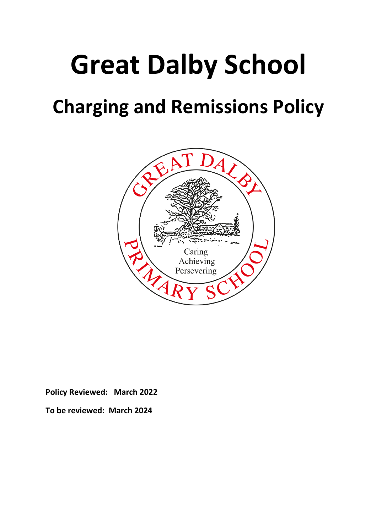# **Great Dalby School**

# **Charging and Remissions Policy**



**Policy Reviewed: March 2022**

**To be reviewed: March 2024**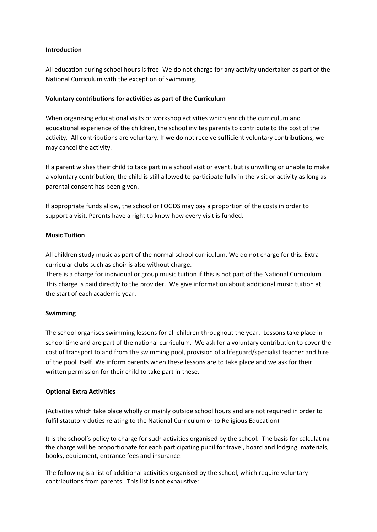### **Introduction**

All education during school hours is free. We do not charge for any activity undertaken as part of the National Curriculum with the exception of swimming.

# **Voluntary contributions for activities as part of the Curriculum**

When organising educational visits or workshop activities which enrich the curriculum and educational experience of the children, the school invites parents to contribute to the cost of the activity. All contributions are voluntary. If we do not receive sufficient voluntary contributions, we may cancel the activity.

If a parent wishes their child to take part in a school visit or event, but is unwilling or unable to make a voluntary contribution, the child is still allowed to participate fully in the visit or activity as long as parental consent has been given.

If appropriate funds allow, the school or FOGDS may pay a proportion of the costs in order to support a visit. Parents have a right to know how every visit is funded.

# **Music Tuition**

All children study music as part of the normal school curriculum. We do not charge for this. Extracurricular clubs such as choir is also without charge.

There is a charge for individual or group music tuition if this is not part of the National Curriculum. This charge is paid directly to the provider. We give information about additional music tuition at the start of each academic year.

#### **Swimming**

The school organises swimming lessons for all children throughout the year. Lessons take place in school time and are part of the national curriculum. We ask for a voluntary contribution to cover the cost of transport to and from the swimming pool, provision of a lifeguard/specialist teacher and hire of the pool itself. We inform parents when these lessons are to take place and we ask for their written permission for their child to take part in these.

#### **Optional Extra Activities**

(Activities which take place wholly or mainly outside school hours and are not required in order to fulfil statutory duties relating to the National Curriculum or to Religious Education).

It is the school's policy to charge for such activities organised by the school. The basis for calculating the charge will be proportionate for each participating pupil for travel, board and lodging, materials, books, equipment, entrance fees and insurance.

The following is a list of additional activities organised by the school, which require voluntary contributions from parents. This list is not exhaustive: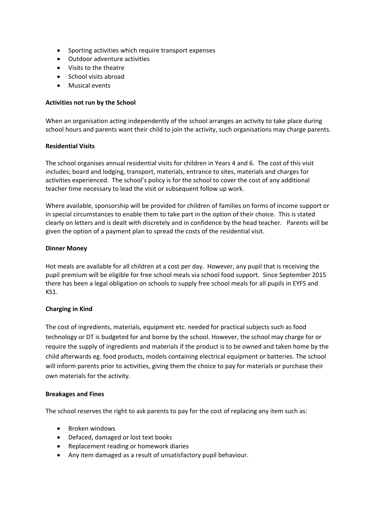- Sporting activities which require transport expenses
- Outdoor adventure activities
- Visits to the theatre
- School visits abroad
- Musical events

#### **Activities not run by the School**

When an organisation acting independently of the school arranges an activity to take place during school hours and parents want their child to join the activity, such organisations may charge parents.

#### **Residential Visits**

The school organises annual residential visits for children in Years 4 and 6. The cost of this visit includes; board and lodging, transport, materials, entrance to sites, materials and charges for activities experienced. The school's policy is for the school to cover the cost of any additional teacher time necessary to lead the visit or subsequent follow up work.

Where available, sponsorship will be provided for children of families on forms of income support or in special circumstances to enable them to take part in the option of their choice. This is stated clearly on letters and is dealt with discretely and in confidence by the head teacher. Parents will be given the option of a payment plan to spread the costs of the residential visit.

#### **Dinner Money**

Hot meals are available for all children at a cost per day. However, any pupil that is receiving the pupil premium will be eligible for free school meals via school food support. Since September 2015 there has been a legal obligation on schools to supply free school meals for all pupils in EYFS and KS1.

#### **Charging in Kind**

The cost of ingredients, materials, equipment etc. needed for practical subjects such as food technology or DT is budgeted for and borne by the school. However, the school may charge for or require the supply of ingredients and materials if the product is to be owned and taken home by the child afterwards eg. food products, models containing electrical equipment or batteries. The school will inform parents prior to activities, giving them the choice to pay for materials or purchase their own materials for the activity.

#### **Breakages and Fines**

The school reserves the right to ask parents to pay for the cost of replacing any item such as:

- Broken windows
- Defaced, damaged or lost text books
- Replacement reading or homework diaries
- Any item damaged as a result of unsatisfactory pupil behaviour.